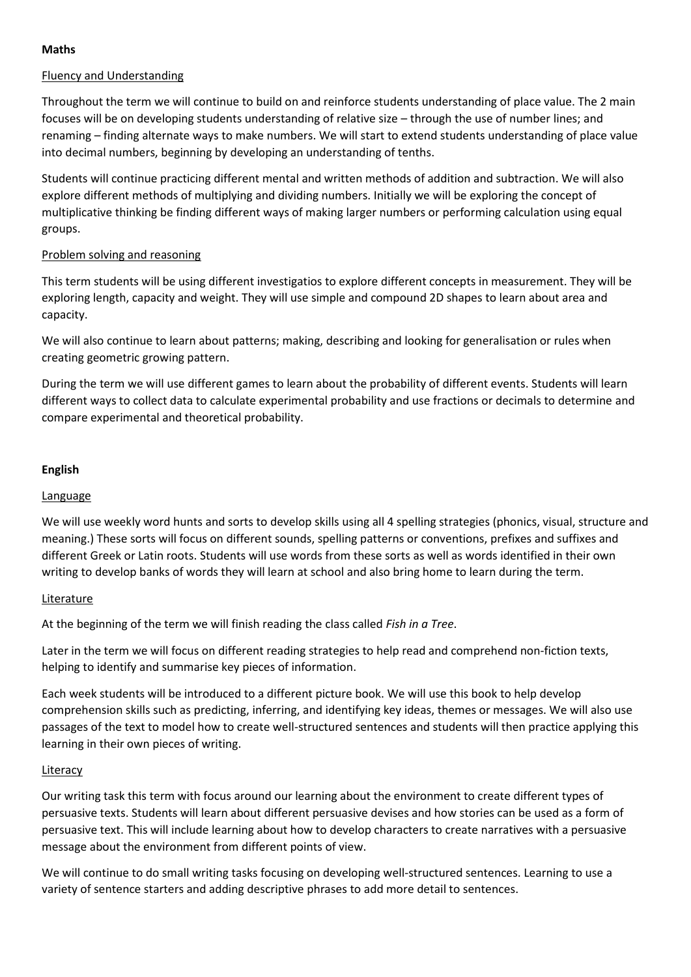# **Maths**

# Fluency and Understanding

Throughout the term we will continue to build on and reinforce students understanding of place value. The 2 main focuses will be on developing students understanding of relative size – through the use of number lines; and renaming – finding alternate ways to make numbers. We will start to extend students understanding of place value into decimal numbers, beginning by developing an understanding of tenths.

Students will continue practicing different mental and written methods of addition and subtraction. We will also explore different methods of multiplying and dividing numbers. Initially we will be exploring the concept of multiplicative thinking be finding different ways of making larger numbers or performing calculation using equal groups.

# Problem solving and reasoning

This term students will be using different investigatios to explore different concepts in measurement. They will be exploring length, capacity and weight. They will use simple and compound 2D shapes to learn about area and capacity.

We will also continue to learn about patterns; making, describing and looking for generalisation or rules when creating geometric growing pattern.

During the term we will use different games to learn about the probability of different events. Students will learn different ways to collect data to calculate experimental probability and use fractions or decimals to determine and compare experimental and theoretical probability.

# **English**

### Language

We will use weekly word hunts and sorts to develop skills using all 4 spelling strategies (phonics, visual, structure and meaning.) These sorts will focus on different sounds, spelling patterns or conventions, prefixes and suffixes and different Greek or Latin roots. Students will use words from these sorts as well as words identified in their own writing to develop banks of words they will learn at school and also bring home to learn during the term.

### Literature

At the beginning of the term we will finish reading the class called *Fish in a Tree*.

Later in the term we will focus on different reading strategies to help read and comprehend non-fiction texts, helping to identify and summarise key pieces of information.

Each week students will be introduced to a different picture book. We will use this book to help develop comprehension skills such as predicting, inferring, and identifying key ideas, themes or messages. We will also use passages of the text to model how to create well-structured sentences and students will then practice applying this learning in their own pieces of writing.

### Literacy

Our writing task this term with focus around our learning about the environment to create different types of persuasive texts. Students will learn about different persuasive devises and how stories can be used as a form of persuasive text. This will include learning about how to develop characters to create narratives with a persuasive message about the environment from different points of view.

We will continue to do small writing tasks focusing on developing well-structured sentences. Learning to use a variety of sentence starters and adding descriptive phrases to add more detail to sentences.